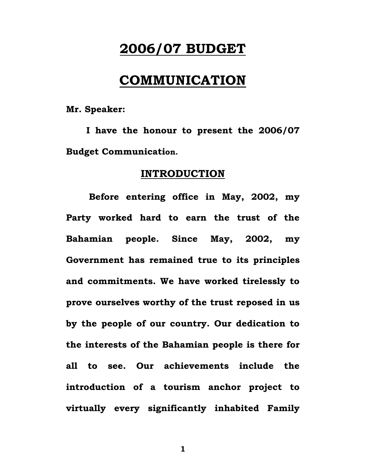# **2006/07 BUDGET**

# **COMMUNICATION**

**Mr. Speaker:** 

**I have the honour to present the 2006/07 Budget Communication.** 

# **INTRODUCTION**

**Before entering office in May, 2002, my Party worked hard to earn the trust of the Bahamian people. Since May, 2002, my Government has remained true to its principles and commitments. We have worked tirelessly to prove ourselves worthy of the trust reposed in us by the people of our country. Our dedication to the interests of the Bahamian people is there for all to see. Our achievements include the introduction of a tourism anchor project to virtually every significantly inhabited Family**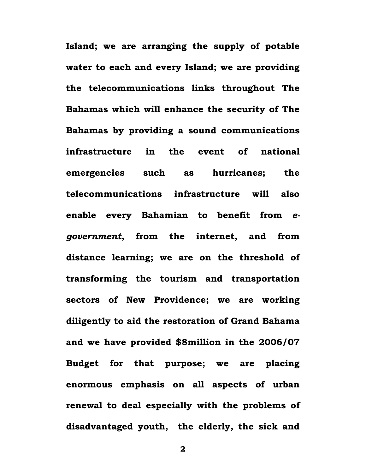**Island; we are arranging the supply of potable water to each and every Island; we are providing the telecommunications links throughout The Bahamas which will enhance the security of The Bahamas by providing a sound communications infrastructure in the event of national emergencies such as hurricanes; the telecommunications infrastructure will also enable every Bahamian to benefit from** *egovernment,* **from the internet, and from distance learning; we are on the threshold of transforming the tourism and transportation sectors of New Providence; we are working diligently to aid the restoration of Grand Bahama and we have provided \$8million in the 2006/07 Budget for that purpose; we are placing enormous emphasis on all aspects of urban renewal to deal especially with the problems of disadvantaged youth, the elderly, the sick and**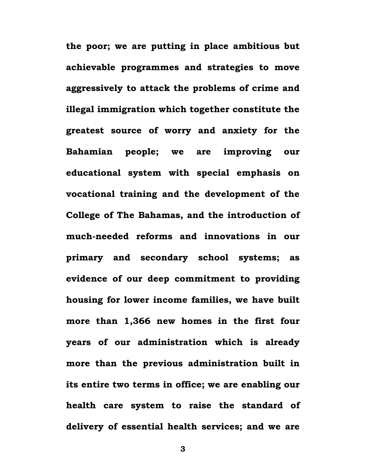**the poor; we are putting in place ambitious but achievable programmes and strategies to move aggressively to attack the problems of crime and illegal immigration which together constitute the greatest source of worry and anxiety for the Bahamian people; we are improving our educational system with special emphasis on vocational training and the development of the College of The Bahamas, and the introduction of much-needed reforms and innovations in our primary and secondary school systems; as evidence of our deep commitment to providing housing for lower income families, we have built more than 1,366 new homes in the first four years of our administration which is already more than the previous administration built in its entire two terms in office; we are enabling our health care system to raise the standard of delivery of essential health services; and we are** 

**3 3 3 3 3 3 3 3 3 4 3 3**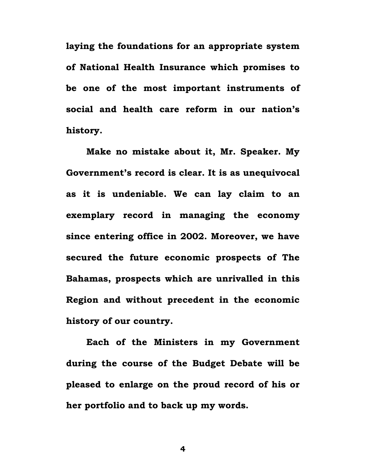**laying the foundations for an appropriate system of National Health Insurance which promises to be one of the most important instruments of social and health care reform in our nation's history.** 

**Make no mistake about it, Mr. Speaker. My Government's record is clear. It is as unequivocal as it is undeniable. We can lay claim to an exemplary record in managing the economy since entering office in 2002. Moreover, we have secured the future economic prospects of The Bahamas, prospects which are unrivalled in this Region and without precedent in the economic history of our country.** 

**Each of the Ministers in my Government during the course of the Budget Debate will be pleased to enlarge on the proud record of his or her portfolio and to back up my words.**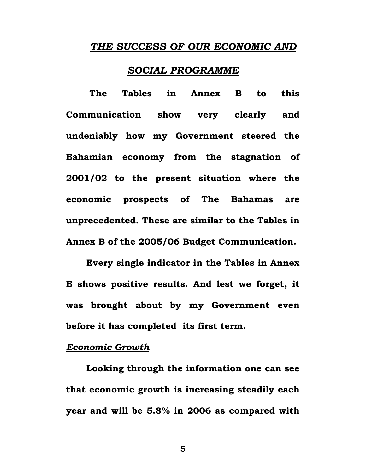# *THE SUCCESS OF OUR ECONOMIC AND*

# *SOCIAL PROGRAMME*

 **The Tables in Annex B to this Communication show very clearly and undeniably how my Government steered the Bahamian economy from the stagnation of 2001/02 to the present situation where the economic prospects of The Bahamas are unprecedented. These are similar to the Tables in Annex B of the 2005/06 Budget Communication.** 

**Every single indicator in the Tables in Annex B shows positive results. And lest we forget, it was brought about by my Government even before it has completed its first term.** 

# *Economic Growth*

**Looking through the information one can see that economic growth is increasing steadily each year and will be 5.8% in 2006 as compared with** 

**5 5 5 5 5 6 5 5**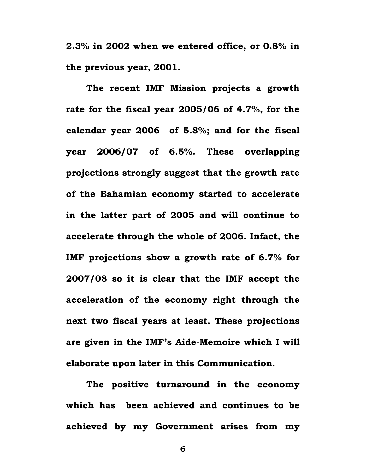**2.3% in 2002 when we entered office, or 0.8% in the previous year, 2001.** 

**The recent IMF Mission projects a growth rate for the fiscal year 2005/06 of 4.7%, for the calendar year 2006 of 5.8%; and for the fiscal year 2006/07 of 6.5%. These overlapping projections strongly suggest that the growth rate of the Bahamian economy started to accelerate in the latter part of 2005 and will continue to accelerate through the whole of 2006. Infact, the IMF projections show a growth rate of 6.7% for 2007/08 so it is clear that the IMF accept the acceleration of the economy right through the next two fiscal years at least. These projections are given in the IMF's Aide-Memoire which I will elaborate upon later in this Communication.** 

**The positive turnaround in the economy which has been achieved and continues to be achieved by my Government arises from my** 

**6 6 6 6 6 6 6 6 6**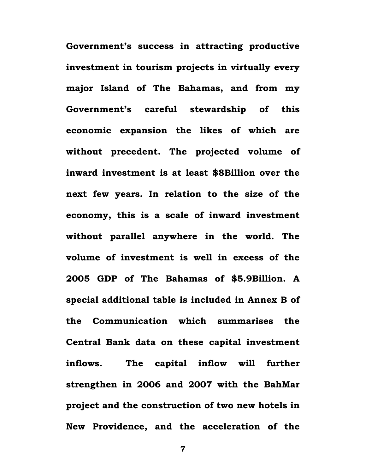**Government's success in attracting productive investment in tourism projects in virtually every major Island of The Bahamas, and from my Government's careful stewardship of this economic expansion the likes of which are without precedent. The projected volume of inward investment is at least \$8Billion over the next few years. In relation to the size of the economy, this is a scale of inward investment without parallel anywhere in the world. The volume of investment is well in excess of the 2005 GDP of The Bahamas of \$5.9Billion. A special additional table is included in Annex B of the Communication which summarises the Central Bank data on these capital investment inflows. The capital inflow will further strengthen in 2006 and 2007 with the BahMar project and the construction of two new hotels in New Providence, and the acceleration of the**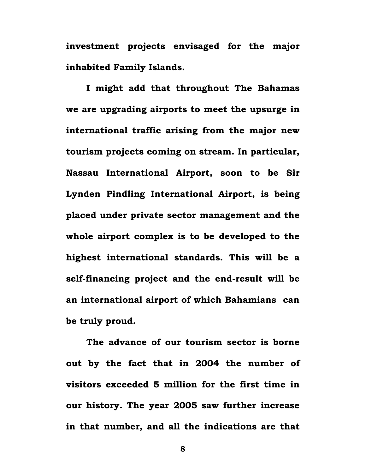**investment projects envisaged for the major inhabited Family Islands.** 

**I might add that throughout The Bahamas we are upgrading airports to meet the upsurge in international traffic arising from the major new tourism projects coming on stream. In particular, Nassau International Airport, soon to be Sir Lynden Pindling International Airport, is being placed under private sector management and the whole airport complex is to be developed to the highest international standards. This will be a self-financing project and the end-result will be an international airport of which Bahamians can be truly proud.** 

**The advance of our tourism sector is borne out by the fact that in 2004 the number of visitors exceeded 5 million for the first time in our history. The year 2005 saw further increase in that number, and all the indications are that**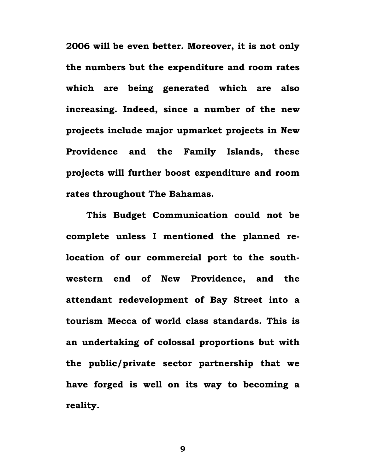**2006 will be even better. Moreover, it is not only the numbers but the expenditure and room rates which are being generated which are also increasing. Indeed, since a number of the new projects include major upmarket projects in New Providence and the Family Islands, these projects will further boost expenditure and room rates throughout The Bahamas.** 

**This Budget Communication could not be complete unless I mentioned the planned relocation of our commercial port to the southwestern end of New Providence, and the attendant redevelopment of Bay Street into a tourism Mecca of world class standards. This is an undertaking of colossal proportions but with the public/private sector partnership that we have forged is well on its way to becoming a reality.**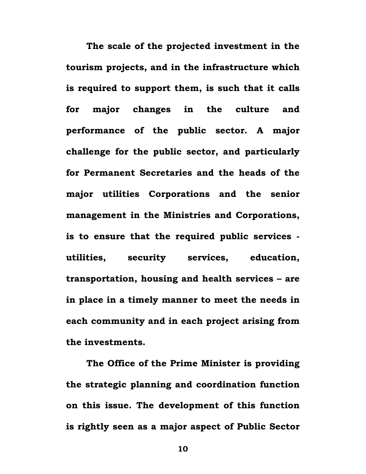**The scale of the projected investment in the tourism projects, and in the infrastructure which is required to support them, is such that it calls for major changes in the culture and performance of the public sector. A major challenge for the public sector, and particularly for Permanent Secretaries and the heads of the major utilities Corporations and the senior management in the Ministries and Corporations, is to ensure that the required public services utilities, security services, education, transportation, housing and health services – are in place in a timely manner to meet the needs in each community and in each project arising from the investments.** 

**The Office of the Prime Minister is providing the strategic planning and coordination function on this issue. The development of this function is rightly seen as a major aspect of Public Sector**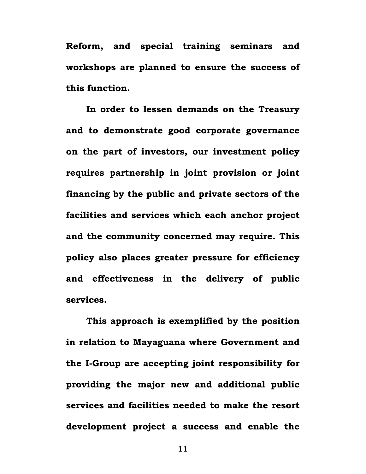**Reform, and special training seminars and workshops are planned to ensure the success of this function.** 

**In order to lessen demands on the Treasury and to demonstrate good corporate governance on the part of investors, our investment policy requires partnership in joint provision or joint financing by the public and private sectors of the facilities and services which each anchor project and the community concerned may require. This policy also places greater pressure for efficiency and effectiveness in the delivery of public services.** 

**This approach is exemplified by the position in relation to Mayaguana where Government and the I-Group are accepting joint responsibility for providing the major new and additional public services and facilities needed to make the resort development project a success and enable the**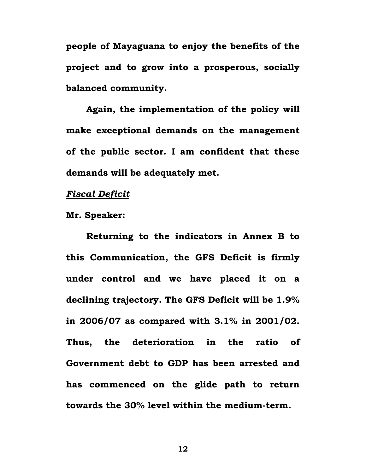**people of Mayaguana to enjoy the benefits of the project and to grow into a prosperous, socially balanced community.** 

**Again, the implementation of the policy will make exceptional demands on the management of the public sector. I am confident that these demands will be adequately met.** 

#### *Fiscal Deficit*

**Mr. Speaker:** 

**Returning to the indicators in Annex B to this Communication, the GFS Deficit is firmly under control and we have placed it on a declining trajectory. The GFS Deficit will be 1.9% in 2006/07 as compared with 3.1% in 2001/02. Thus, the deterioration in the ratio of Government debt to GDP has been arrested and has commenced on the glide path to return towards the 30% level within the medium-term.**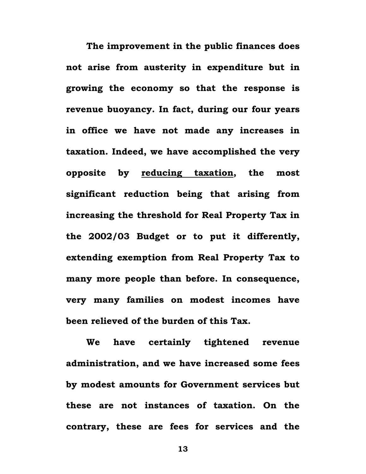**The improvement in the public finances does not arise from austerity in expenditure but in growing the economy so that the response is revenue buoyancy. In fact, during our four years in office we have not made any increases in taxation. Indeed, we have accomplished the very opposite by reducing taxation, the most significant reduction being that arising from increasing the threshold for Real Property Tax in the 2002/03 Budget or to put it differently, extending exemption from Real Property Tax to many more people than before. In consequence, very many families on modest incomes have been relieved of the burden of this Tax.** 

**We have certainly tightened revenue administration, and we have increased some fees by modest amounts for Government services but these are not instances of taxation. On the contrary, these are fees for services and the**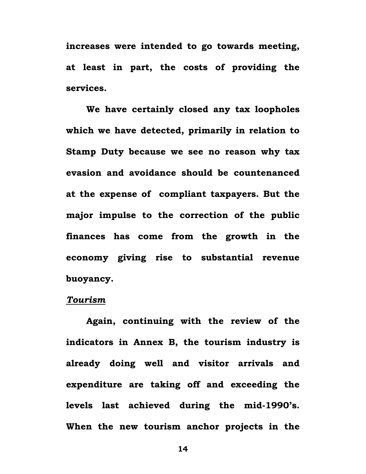**increases were intended to go towards meeting, at least in part, the costs of providing the services.** 

**We have certainly closed any tax loopholes which we have detected, primarily in relation to Stamp Duty because we see no reason why tax evasion and avoidance should be countenanced at the expense of compliant taxpayers. But the major impulse to the correction of the public finances has come from the growth in the economy giving rise to substantial revenue buoyancy.** 

#### *Tourism*

**Again, continuing with the review of the indicators in Annex B, the tourism industry is already doing well and visitor arrivals and expenditure are taking off and exceeding the levels last achieved during the mid-1990's. When the new tourism anchor projects in the**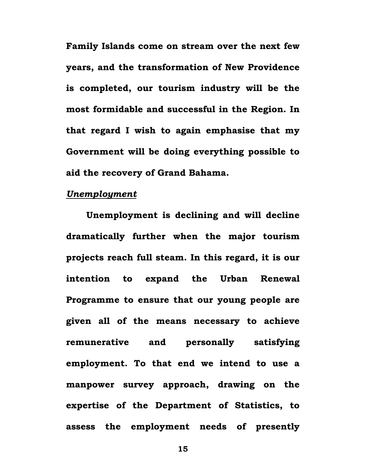**Family Islands come on stream over the next few years, and the transformation of New Providence is completed, our tourism industry will be the most formidable and successful in the Region. In that regard I wish to again emphasise that my Government will be doing everything possible to aid the recovery of Grand Bahama.** 

#### *Unemployment*

**Unemployment is declining and will decline dramatically further when the major tourism projects reach full steam. In this regard, it is our intention to expand the Urban Renewal Programme to ensure that our young people are given all of the means necessary to achieve remunerative and personally satisfying employment. To that end we intend to use a manpower survey approach, drawing on the expertise of the Department of Statistics, to assess the employment needs of presently**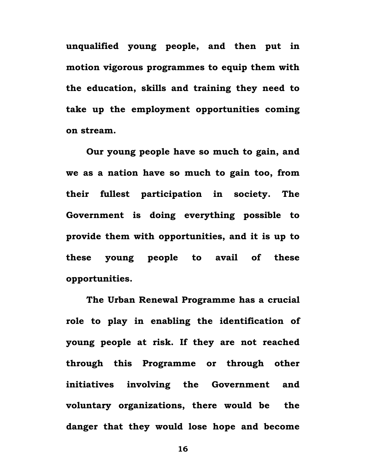**unqualified young people, and then put in motion vigorous programmes to equip them with the education, skills and training they need to take up the employment opportunities coming on stream.** 

**Our young people have so much to gain, and we as a nation have so much to gain too, from their fullest participation in society. The Government is doing everything possible to provide them with opportunities, and it is up to these young people to avail of these opportunities.** 

**The Urban Renewal Programme has a crucial role to play in enabling the identification of young people at risk. If they are not reached through this Programme or through other initiatives involving the Government and voluntary organizations, there would be the danger that they would lose hope and become**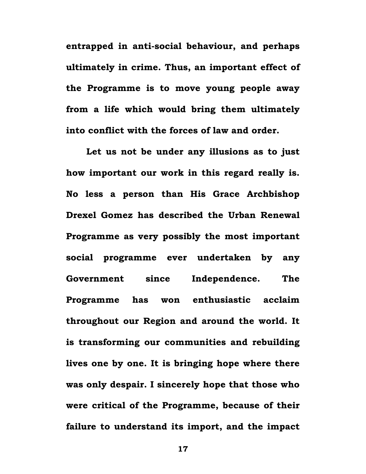**entrapped in anti-social behaviour, and perhaps ultimately in crime. Thus, an important effect of the Programme is to move young people away from a life which would bring them ultimately into conflict with the forces of law and order.** 

**Let us not be under any illusions as to just how important our work in this regard really is. No less a person than His Grace Archbishop Drexel Gomez has described the Urban Renewal Programme as very possibly the most important social programme ever undertaken by any Government since Independence. The Programme has won enthusiastic acclaim throughout our Region and around the world. It is transforming our communities and rebuilding lives one by one. It is bringing hope where there was only despair. I sincerely hope that those who were critical of the Programme, because of their failure to understand its import, and the impact**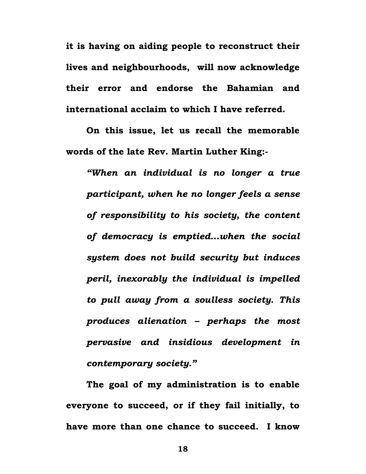**it is having on aiding people to reconstruct their lives and neighbourhoods, will now acknowledge their error and endorse the Bahamian and international acclaim to which I have referred.** 

**On this issue, let us recall the memorable words of the late Rev. Martin Luther King:-** 

*"When an individual is no longer a true participant, when he no longer feels a sense of responsibility to his society, the content of democracy is emptied…when the social system does not build security but induces peril, inexorably the individual is impelled to pull away from a soulless society. This produces alienation – perhaps the most pervasive and insidious development in contemporary society."* 

**The goal of my administration is to enable everyone to succeed, or if they fail initially, to have more than one chance to succeed. I know**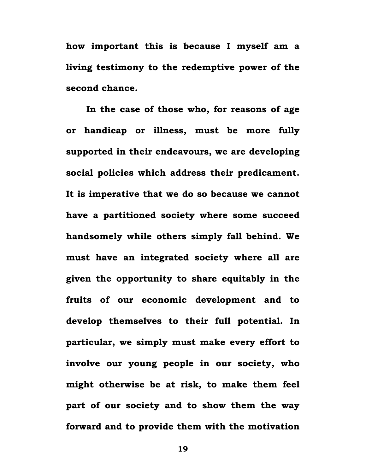**how important this is because I myself am a living testimony to the redemptive power of the second chance.** 

**In the case of those who, for reasons of age or handicap or illness, must be more fully supported in their endeavours, we are developing social policies which address their predicament. It is imperative that we do so because we cannot have a partitioned society where some succeed handsomely while others simply fall behind. We must have an integrated society where all are given the opportunity to share equitably in the fruits of our economic development and to develop themselves to their full potential. In particular, we simply must make every effort to involve our young people in our society, who might otherwise be at risk, to make them feel part of our society and to show them the way forward and to provide them with the motivation**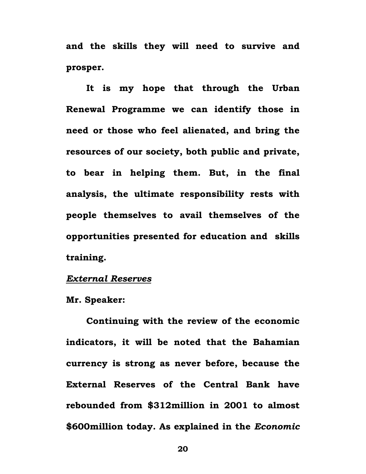**and the skills they will need to survive and prosper.** 

**It is my hope that through the Urban Renewal Programme we can identify those in need or those who feel alienated, and bring the resources of our society, both public and private, to bear in helping them. But, in the final analysis, the ultimate responsibility rests with people themselves to avail themselves of the opportunities presented for education and skills training.** 

#### *External Reserves*

**Mr. Speaker:** 

**Continuing with the review of the economic indicators, it will be noted that the Bahamian currency is strong as never before, because the External Reserves of the Central Bank have rebounded from \$312million in 2001 to almost \$600million today. As explained in the** *Economic*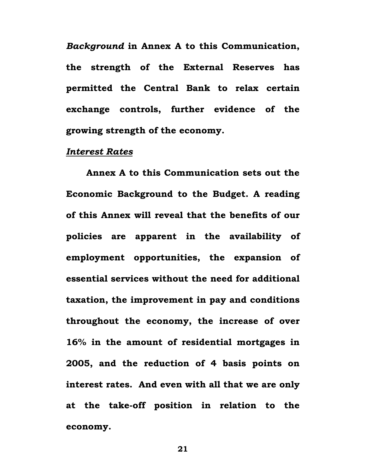*Background* **in Annex A to this Communication, the strength of the External Reserves has permitted the Central Bank to relax certain exchange controls, further evidence of the growing strength of the economy.** 

#### *Interest Rates*

**Annex A to this Communication sets out the Economic Background to the Budget. A reading of this Annex will reveal that the benefits of our policies are apparent in the availability of employment opportunities, the expansion of essential services without the need for additional taxation, the improvement in pay and conditions throughout the economy, the increase of over 16% in the amount of residential mortgages in 2005, and the reduction of 4 basis points on interest rates. And even with all that we are only at the take-off position in relation to the economy.**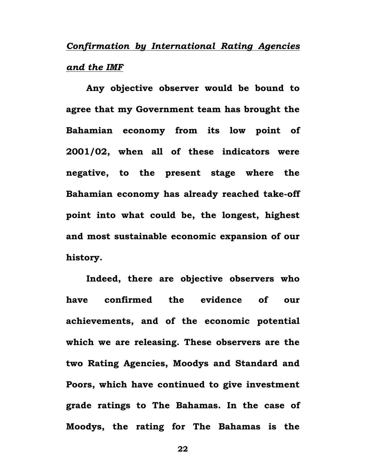# *Confirmation by International Rating Agencies and the IMF*

**Any objective observer would be bound to agree that my Government team has brought the Bahamian economy from its low point of 2001/02, when all of these indicators were negative, to the present stage where the Bahamian economy has already reached take-off point into what could be, the longest, highest and most sustainable economic expansion of our history.** 

**Indeed, there are objective observers who have confirmed the evidence of our achievements, and of the economic potential which we are releasing. These observers are the two Rating Agencies, Moodys and Standard and Poors, which have continued to give investment grade ratings to The Bahamas. In the case of Moodys, the rating for The Bahamas is the**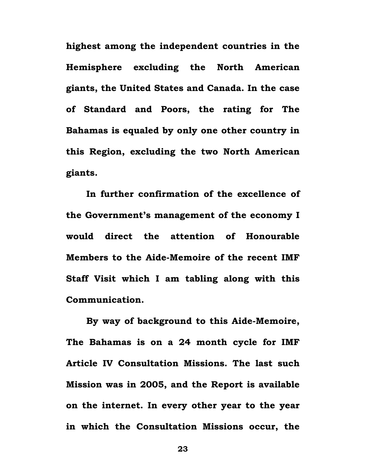**highest among the independent countries in the Hemisphere excluding the North American giants, the United States and Canada. In the case of Standard and Poors, the rating for The Bahamas is equaled by only one other country in this Region, excluding the two North American giants.** 

**In further confirmation of the excellence of the Government's management of the economy I would direct the attention of Honourable Members to the Aide-Memoire of the recent IMF Staff Visit which I am tabling along with this Communication.** 

**By way of background to this Aide-Memoire, The Bahamas is on a 24 month cycle for IMF Article IV Consultation Missions. The last such Mission was in 2005, and the Report is available on the internet. In every other year to the year in which the Consultation Missions occur, the**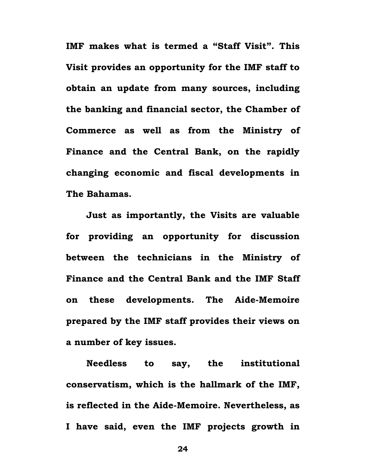**IMF makes what is termed a "Staff Visit". This Visit provides an opportunity for the IMF staff to obtain an update from many sources, including the banking and financial sector, the Chamber of Commerce as well as from the Ministry of Finance and the Central Bank, on the rapidly changing economic and fiscal developments in The Bahamas.** 

**Just as importantly, the Visits are valuable for providing an opportunity for discussion between the technicians in the Ministry of Finance and the Central Bank and the IMF Staff on these developments. The Aide-Memoire prepared by the IMF staff provides their views on a number of key issues.** 

**Needless to say, the institutional conservatism, which is the hallmark of the IMF, is reflected in the Aide-Memoire. Nevertheless, as I have said, even the IMF projects growth in** 

ل المركز المركز المركز المركز المركز المركز المركز المركز المركز المركز المركز المركز المركز المركز المركز ال<br>والمركز المركز المركز المركز المركز المركز المركز المركز المركز المركز المركز المركز المركز المركز المركز المر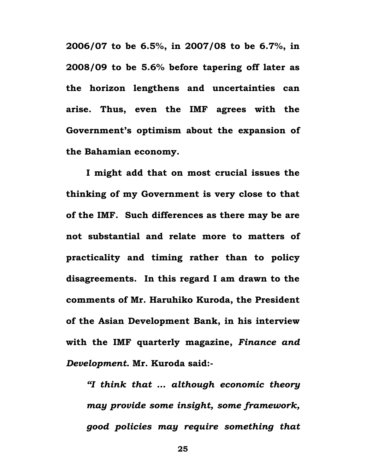**2006/07 to be 6.5%, in 2007/08 to be 6.7%, in 2008/09 to be 5.6% before tapering off later as the horizon lengthens and uncertainties can arise. Thus, even the IMF agrees with the Government's optimism about the expansion of the Bahamian economy.** 

**I might add that on most crucial issues the thinking of my Government is very close to that of the IMF. Such differences as there may be are not substantial and relate more to matters of practicality and timing rather than to policy disagreements. In this regard I am drawn to the comments of Mr. Haruhiko Kuroda, the President of the Asian Development Bank, in his interview with the IMF quarterly magazine,** *Finance and Development.* **Mr. Kuroda said:-** 

*"I think that … although economic theory may provide some insight, some framework, good policies may require something that*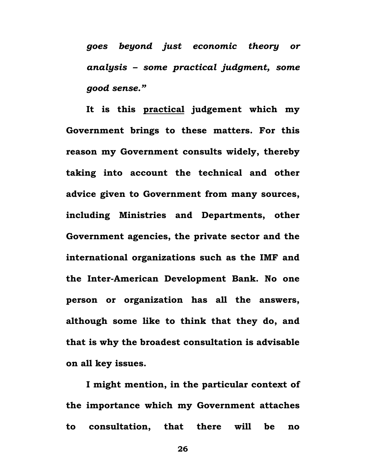*goes beyond just economic theory or analysis – some practical judgment, some good sense."* 

**It is this practical judgement which my Government brings to these matters. For this reason my Government consults widely, thereby taking into account the technical and other advice given to Government from many sources, including Ministries and Departments, other Government agencies, the private sector and the international organizations such as the IMF and the Inter-American Development Bank. No one person or organization has all the answers, although some like to think that they do, and that is why the broadest consultation is advisable on all key issues.** 

**I might mention, in the particular context of the importance which my Government attaches to consultation, that there will be no** 

ا 26 مارس با با عام 1940 مارس با با عام 1940 مارس با عام 1940 مارس با عام 1940 مارس با عام 1940 مارس با عام 19<br>المراس با عام 1940 مارس با عام 1940 مارس با عام 1940 مارس با عام 1940 مارس با عام 1940 مارس با عام 1940 مارس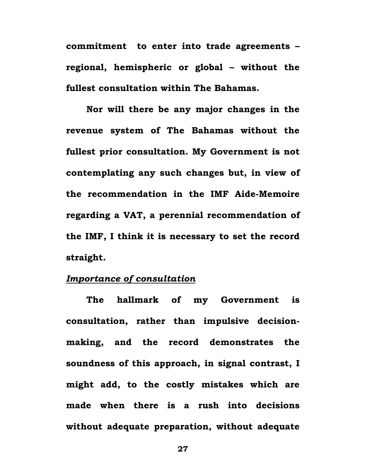**commitment to enter into trade agreements – regional, hemispheric or global – without the fullest consultation within The Bahamas.** 

**Nor will there be any major changes in the revenue system of The Bahamas without the fullest prior consultation. My Government is not contemplating any such changes but, in view of the recommendation in the IMF Aide-Memoire regarding a VAT, a perennial recommendation of the IMF, I think it is necessary to set the record straight.** 

# *Importance of consultation*

**The hallmark of my Government is consultation, rather than impulsive decisionmaking, and the record demonstrates the soundness of this approach, in signal contrast, I might add, to the costly mistakes which are made when there is a rush into decisions without adequate preparation, without adequate**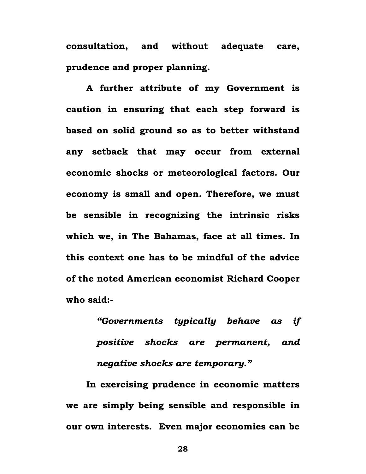**consultation, and without adequate care, prudence and proper planning.** 

**A further attribute of my Government is caution in ensuring that each step forward is based on solid ground so as to better withstand any setback that may occur from external economic shocks or meteorological factors. Our economy is small and open. Therefore, we must be sensible in recognizing the intrinsic risks which we, in The Bahamas, face at all times. In this context one has to be mindful of the advice of the noted American economist Richard Cooper who said:-** 

> *"Governments typically behave as if positive shocks are permanent, and negative shocks are temporary."*

 **In exercising prudence in economic matters we are simply being sensible and responsible in our own interests. Even major economies can be**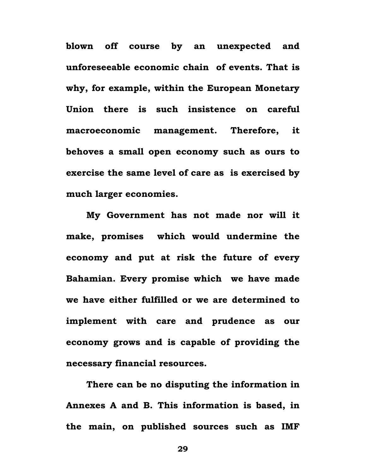**blown off course by an unexpected and unforeseeable economic chain of events. That is why, for example, within the European Monetary Union there is such insistence on careful macroeconomic management. Therefore, it behoves a small open economy such as ours to exercise the same level of care as is exercised by much larger economies.** 

**My Government has not made nor will it make, promises which would undermine the economy and put at risk the future of every Bahamian. Every promise which we have made we have either fulfilled or we are determined to implement with care and prudence as our economy grows and is capable of providing the necessary financial resources.** 

**There can be no disputing the information in Annexes A and B. This information is based, in the main, on published sources such as IMF** 

ا 29 مارس با تاريخ المارس با تاريخ المارس با تاريخ المارس با تاريخ المارس با تاريخ المارس با تاريخ المارس با<br>المارس با تاريخ المارس با تاريخ المارس با تاريخ المارس با تاريخ المارس با تاريخ المارس با تاريخ المارس با تاريخ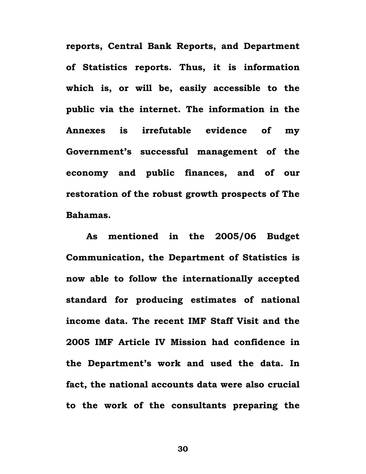**reports, Central Bank Reports, and Department of Statistics reports. Thus, it is information which is, or will be, easily accessible to the public via the internet. The information in the Annexes is irrefutable evidence of my Government's successful management of the economy and public finances, and of our restoration of the robust growth prospects of The Bahamas.** 

**As mentioned in the 2005/06 Budget Communication, the Department of Statistics is now able to follow the internationally accepted standard for producing estimates of national income data. The recent IMF Staff Visit and the 2005 IMF Article IV Mission had confidence in the Department's work and used the data. In fact, the national accounts data were also crucial to the work of the consultants preparing the**

**30 30 30**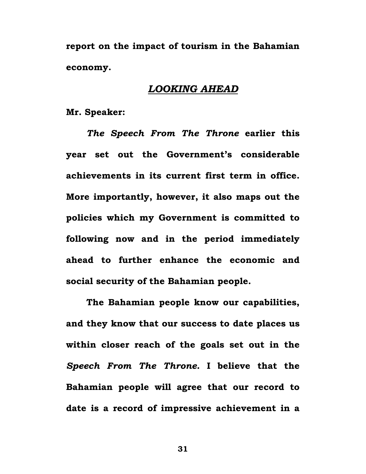**report on the impact of tourism in the Bahamian economy.** 

# *LOOKING AHEAD*

**Mr. Speaker:** 

*The Speech From The Throne* **earlier this year set out the Government's considerable achievements in its current first term in office. More importantly, however, it also maps out the policies which my Government is committed to following now and in the period immediately ahead to further enhance the economic and social security of the Bahamian people.** 

**The Bahamian people know our capabilities, and they know that our success to date places us within closer reach of the goals set out in the**  *Speech From The Throne.* **I believe that the Bahamian people will agree that our record to date is a record of impressive achievement in a**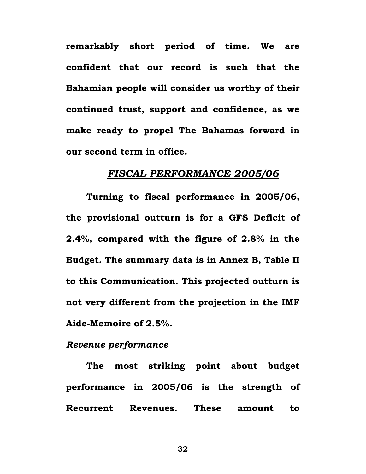**remarkably short period of time. We are confident that our record is such that the Bahamian people will consider us worthy of their continued trust, support and confidence, as we make ready to propel The Bahamas forward in our second term in office.** 

# *FISCAL PERFORMANCE 2005/06*

**Turning to fiscal performance in 2005/06, the provisional outturn is for a GFS Deficit of 2.4%, compared with the figure of 2.8% in the Budget. The summary data is in Annex B, Table II to this Communication. This projected outturn is not very different from the projection in the IMF Aide-Memoire of 2.5%.** 

#### *Revenue performance*

**The most striking point about budget performance in 2005/06 is the strength of Recurrent Revenues. These amount to** 

ا با المساو<mark>32</mark> با المساوي المساوي المساوي المساوي المساوي المساوي المساوي المساوي المساوي المساوي المساوي المس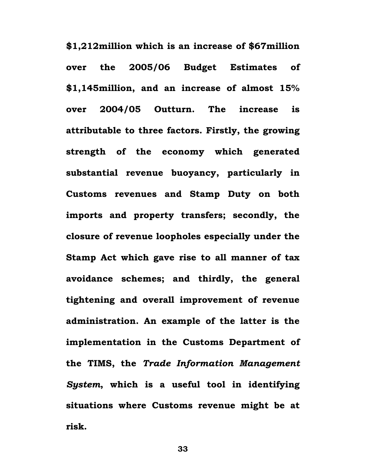**\$1,212million which is an increase of \$67million over the 2005/06 Budget Estimates of \$1,145million, and an increase of almost 15% over 2004/05 Outturn. The increase is attributable to three factors. Firstly, the growing strength of the economy which generated substantial revenue buoyancy, particularly in Customs revenues and Stamp Duty on both imports and property transfers; secondly, the closure of revenue loopholes especially under the Stamp Act which gave rise to all manner of tax avoidance schemes; and thirdly, the general tightening and overall improvement of revenue administration. An example of the latter is the implementation in the Customs Department of the TIMS, the** *Trade Information Management System***, which is a useful tool in identifying situations where Customs revenue might be at risk.** 

ا با المساوت المساوت المساوت المساوت المساوت المساوت المساوت المساوت المساوت المساوت المساوت المساوت المساوت ا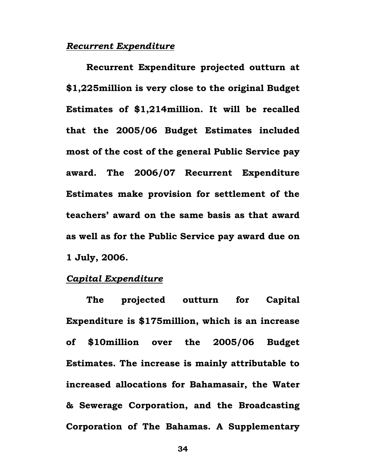#### *Recurrent Expenditure*

**Recurrent Expenditure projected outturn at \$1,225million is very close to the original Budget Estimates of \$1,214million. It will be recalled that the 2005/06 Budget Estimates included most of the cost of the general Public Service pay award. The 2006/07 Recurrent Expenditure Estimates make provision for settlement of the teachers' award on the same basis as that award as well as for the Public Service pay award due on 1 July, 2006.** 

## *Capital Expenditure*

 **The projected outturn for Capital Expenditure is \$175million, which is an increase of \$10million over the 2005/06 Budget Estimates. The increase is mainly attributable to increased allocations for Bahamasair, the Water & Sewerage Corporation, and the Broadcasting Corporation of The Bahamas. A Supplementary**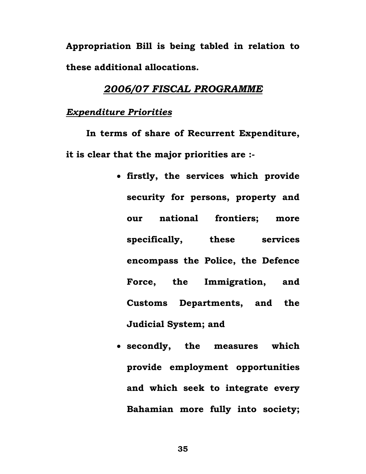**Appropriation Bill is being tabled in relation to these additional allocations.** 

# *2006/07 FISCAL PROGRAMME*

# *Expenditure Priorities*

**In terms of share of Recurrent Expenditure, it is clear that the major priorities are :-** 

- **firstly, the services which provide security for persons, property and our national frontiers; more specifically, these services encompass the Police, the Defence Force, the Immigration, and Customs Departments, and the Judicial System; and**
- **secondly, the measures which provide employment opportunities and which seek to integrate every Bahamian more fully into society;**

ل المساو<mark>ر بين المساور المساور المساور المساور المساور المساور المساور المساور المساور المساور المساور المساور ا</mark>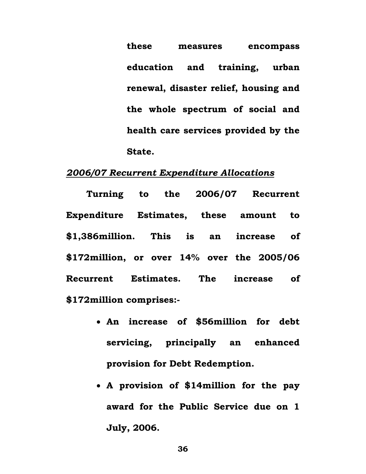**these measures encompass education and training, urban renewal, disaster relief, housing and the whole spectrum of social and health care services provided by the State.** 

#### *2006/07 Recurrent Expenditure Allocations*

**Turning to the 2006/07 Recurrent Expenditure Estimates, these amount to \$1,386million. This is an increase of \$172million, or over 14% over the 2005/06 Recurrent Estimates. The increase of \$172million comprises:-** 

- **An increase of \$56million for debt servicing, principally an enhanced provision for Debt Redemption.**
- **A provision of \$14million for the pay award for the Public Service due on 1 July, 2006.**

ل المركز المركز المركز المركز المركز المركز المركز المركز المركز المركز المركز المركز المركز المركز المركز الم<br>المركز المركز المركز المركز المركز المركز المركز المركز المركز المركز المركز المركز المركز المركز المركز المر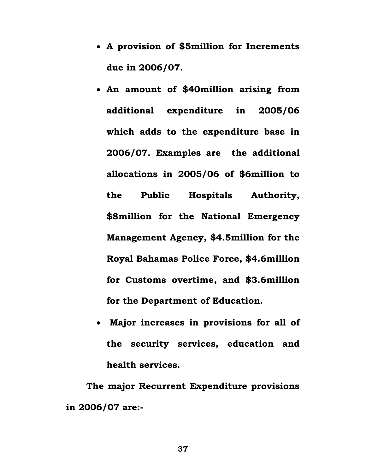- **A provision of \$5million for Increments due in 2006/07.**
- **An amount of \$40million arising from additional expenditure in 2005/06 which adds to the expenditure base in 2006/07. Examples are the additional allocations in 2005/06 of \$6million to the Public Hospitals Authority, \$8million for the National Emergency Management Agency, \$4.5million for the Royal Bahamas Police Force, \$4.6million for Customs overtime, and \$3.6million for the Department of Education.**
- • **Major increases in provisions for all of the security services, education and health services.**

**The major Recurrent Expenditure provisions in 2006/07 are:-**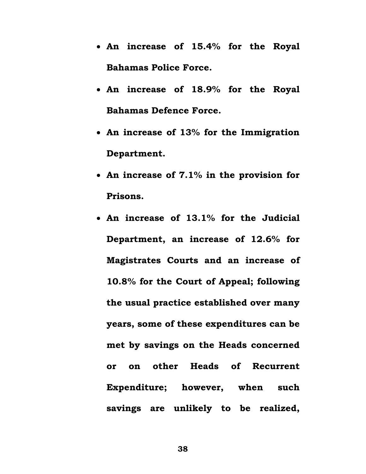- **An increase of 15.4% for the Royal Bahamas Police Force.**
- **An increase of 18.9% for the Royal Bahamas Defence Force.**
- **An increase of 13% for the Immigration Department.**
- **An increase of 7.1% in the provision for Prisons.**
- **An increase of 13.1% for the Judicial Department, an increase of 12.6% for Magistrates Courts and an increase of 10.8% for the Court of Appeal; following the usual practice established over many years, some of these expenditures can be met by savings on the Heads concerned or on other Heads of Recurrent Expenditure; however, when such savings are unlikely to be realized,**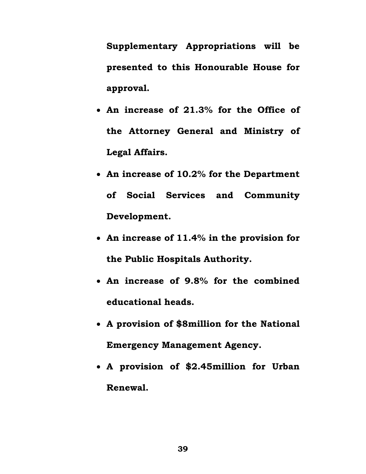**Supplementary Appropriations will be presented to this Honourable House for approval.** 

- **An increase of 21.3% for the Office of the Attorney General and Ministry of Legal Affairs.**
- **An increase of 10.2% for the Department of Social Services and Community Development.**
- **An increase of 11.4% in the provision for the Public Hospitals Authority.**
- **An increase of 9.8% for the combined educational heads.**
- **A provision of \$8million for the National Emergency Management Agency.**
- **A provision of \$2.45million for Urban Renewal.**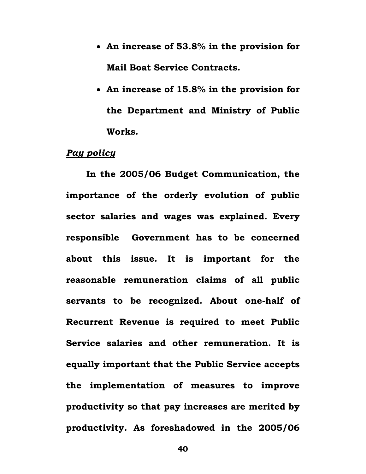- **An increase of 53.8% in the provision for Mail Boat Service Contracts.**
- **An increase of 15.8% in the provision for the Department and Ministry of Public Works.**

# *Pay policy*

**In the 2005/06 Budget Communication, the importance of the orderly evolution of public sector salaries and wages was explained. Every responsible Government has to be concerned about this issue. It is important for the reasonable remuneration claims of all public servants to be recognized. About one-half of Recurrent Revenue is required to meet Public Service salaries and other remuneration. It is equally important that the Public Service accepts the implementation of measures to improve productivity so that pay increases are merited by productivity. As foreshadowed in the 2005/06**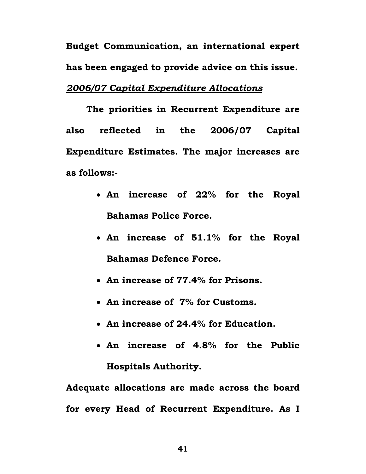**Budget Communication, an international expert has been engaged to provide advice on this issue.**  *2006/07 Capital Expenditure Allocations*

**The priorities in Recurrent Expenditure are also reflected in the 2006/07 Capital Expenditure Estimates. The major increases are as follows:-** 

- **An increase of 22% for the Royal Bahamas Police Force.**
- **An increase of 51.1% for the Royal Bahamas Defence Force.**
- **An increase of 77.4% for Prisons.**
- **An increase of 7% for Customs.**
- **An increase of 24.4% for Education.**
- **An increase of 4.8% for the Public Hospitals Authority.**

**Adequate allocations are made across the board for every Head of Recurrent Expenditure. As I**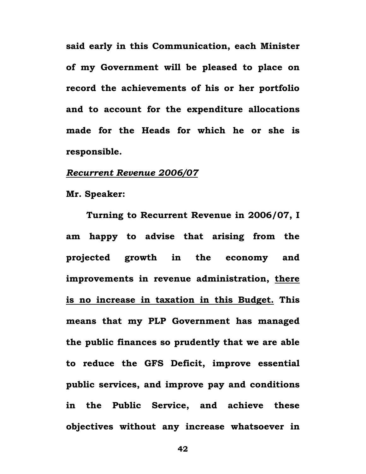**said early in this Communication, each Minister of my Government will be pleased to place on record the achievements of his or her portfolio and to account for the expenditure allocations made for the Heads for which he or she is responsible.** 

#### *Recurrent Revenue 2006/07*

**Mr. Speaker:** 

 **Turning to Recurrent Revenue in 2006/07, I am happy to advise that arising from the projected growth in the economy and improvements in revenue administration, there is no increase in taxation in this Budget. This means that my PLP Government has managed the public finances so prudently that we are able to reduce the GFS Deficit, improve essential public services, and improve pay and conditions in the Public Service, and achieve these objectives without any increase whatsoever in** 

ل 12 مارس با 12 مارس با 12 مارس با 12 مارس با 12 مارس با 12 مارس با 12 مارس با 12 مارس با 12 مارس با 12 مارس<br>المراس با 12 مارس با 12 مارس با 12 مارس با 12 مارس با 12 مارس با 12 مارس با 12 مارس با 12 مارس با 12 مارس با 1<br>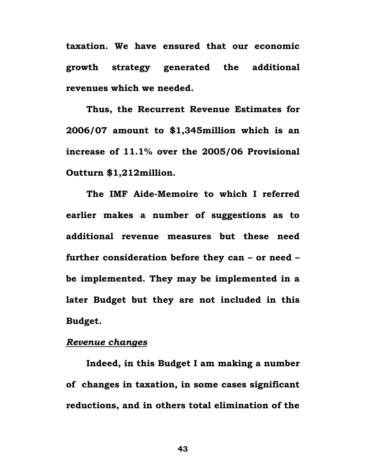**taxation. We have ensured that our economic growth strategy generated the additional revenues which we needed.** 

 **Thus, the Recurrent Revenue Estimates for 2006/07 amount to \$1,345million which is an increase of 11.1% over the 2005/06 Provisional Outturn \$1,212million.** 

 **The IMF Aide-Memoire to which I referred earlier makes a number of suggestions as to additional revenue measures but these need further consideration before they can – or need – be implemented. They may be implemented in a later Budget but they are not included in this Budget.** 

## *Revenue changes*

**Indeed, in this Budget I am making a number of changes in taxation, in some cases significant reductions, and in others total elimination of the**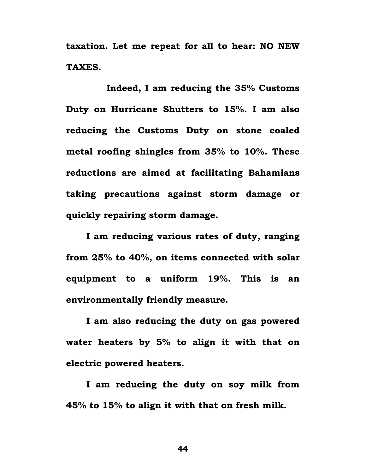**taxation. Let me repeat for all to hear: NO NEW TAXES.** 

 **Indeed, I am reducing the 35% Customs Duty on Hurricane Shutters to 15%. I am also reducing the Customs Duty on stone coaled metal roofing shingles from 35% to 10%. These reductions are aimed at facilitating Bahamians taking precautions against storm damage or quickly repairing storm damage.** 

**I am reducing various rates of duty, ranging from 25% to 40%, on items connected with solar equipment to a uniform 19%. This is an environmentally friendly measure.** 

**I am also reducing the duty on gas powered water heaters by 5% to align it with that on electric powered heaters.** 

**I am reducing the duty on soy milk from 45% to 15% to align it with that on fresh milk.** 

ل المساوي المساوي المساوي المساوي المساوي المساوي المساوي المساوي المساوي المساوي المساوي المساوي المساوي المس<br>والمساوي المساوي المساوي المساوي المساوي المساوي المساوي المساوي المساوي المساوي المساوي المساوي المساوي المس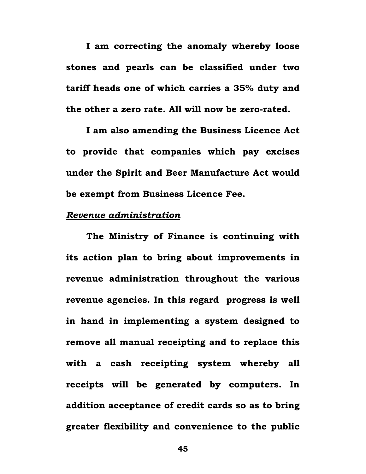**I am correcting the anomaly whereby loose stones and pearls can be classified under two tariff heads one of which carries a 35% duty and the other a zero rate. All will now be zero-rated.** 

**I am also amending the Business Licence Act to provide that companies which pay excises under the Spirit and Beer Manufacture Act would be exempt from Business Licence Fee.** 

# *Revenue administration*

**The Ministry of Finance is continuing with its action plan to bring about improvements in revenue administration throughout the various revenue agencies. In this regard progress is well in hand in implementing a system designed to remove all manual receipting and to replace this with a cash receipting system whereby all receipts will be generated by computers. In addition acceptance of credit cards so as to bring greater flexibility and convenience to the public**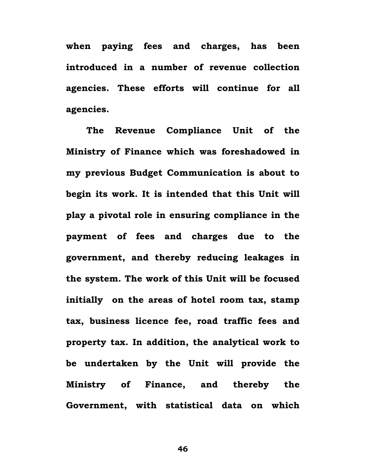**when paying fees and charges, has been introduced in a number of revenue collection agencies. These efforts will continue for all agencies.** 

**The Revenue Compliance Unit of the Ministry of Finance which was foreshadowed in my previous Budget Communication is about to begin its work. It is intended that this Unit will play a pivotal role in ensuring compliance in the payment of fees and charges due to the government, and thereby reducing leakages in the system. The work of this Unit will be focused initially on the areas of hotel room tax, stamp tax, business licence fee, road traffic fees and property tax. In addition, the analytical work to be undertaken by the Unit will provide the Ministry of Finance, and thereby the Government, with statistical data on which**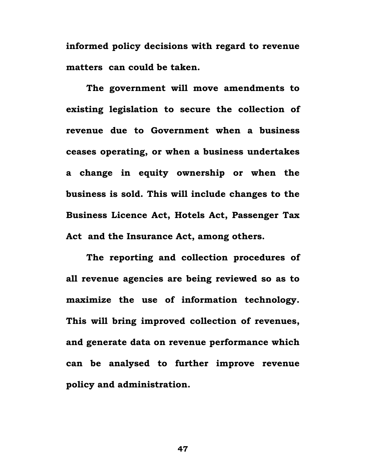**informed policy decisions with regard to revenue matters can could be taken.** 

**The government will move amendments to existing legislation to secure the collection of revenue due to Government when a business ceases operating, or when a business undertakes a change in equity ownership or when the business is sold. This will include changes to the Business Licence Act, Hotels Act, Passenger Tax Act and the Insurance Act, among others.** 

**The reporting and collection procedures of all revenue agencies are being reviewed so as to maximize the use of information technology. This will bring improved collection of revenues, and generate data on revenue performance which can be analysed to further improve revenue policy and administration.**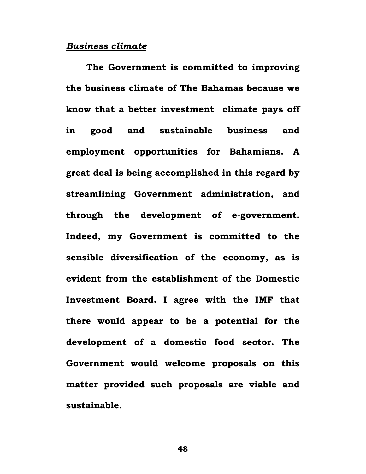#### *Business climate*

 **The Government is committed to improving the business climate of The Bahamas because we know that a better investment climate pays off in good and sustainable business and employment opportunities for Bahamians. A great deal is being accomplished in this regard by streamlining Government administration, and through the development of e-government. Indeed, my Government is committed to the sensible diversification of the economy, as is evident from the establishment of the Domestic Investment Board. I agree with the IMF that there would appear to be a potential for the development of a domestic food sector. The Government would welcome proposals on this matter provided such proposals are viable and sustainable.** 

**1980 - 1980 - 1980 - 1980 - 1980 - 1980 - 1980 - 1980 - 1980 - 1980 - 1980 - 1980 - 1980 - 1980 - 1980 - 1980**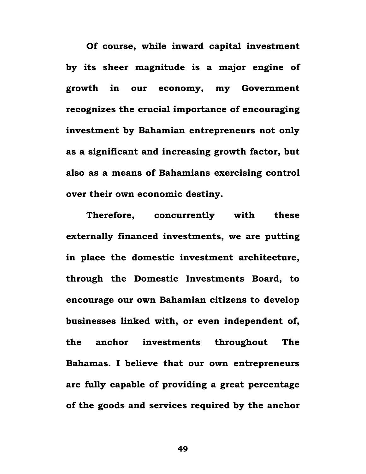**Of course, while inward capital investment by its sheer magnitude is a major engine of growth in our economy, my Government recognizes the crucial importance of encouraging investment by Bahamian entrepreneurs not only as a significant and increasing growth factor, but also as a means of Bahamians exercising control over their own economic destiny.** 

**Therefore, concurrently with these externally financed investments, we are putting in place the domestic investment architecture, through the Domestic Investments Board, to encourage our own Bahamian citizens to develop businesses linked with, or even independent of, the anchor investments throughout The Bahamas. I believe that our own entrepreneurs are fully capable of providing a great percentage of the goods and services required by the anchor** 

ل 1994 - المراكز المراكز المراكز المراكز المراكز المراكز المراكز المراكز المراكز المراكز المراكز المراكز المر<br>والمراكز المراكز المراكز المراكز المراكز المراكز المراكز المراكز المراكز المراكز المراكز المراكز المراكز المرا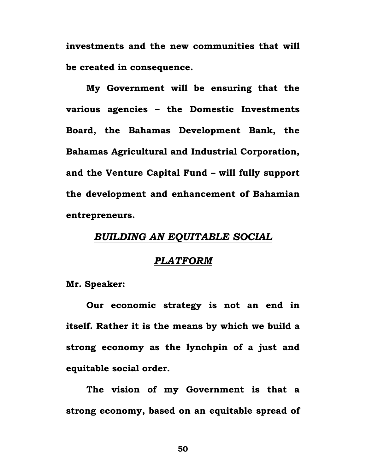**investments and the new communities that will be created in consequence.** 

**My Government will be ensuring that the various agencies – the Domestic Investments Board, the Bahamas Development Bank, the Bahamas Agricultural and Industrial Corporation, and the Venture Capital Fund – will fully support the development and enhancement of Bahamian entrepreneurs.** 

# *BUILDING AN EQUITABLE SOCIAL*

## *PLATFORM*

**Mr. Speaker:** 

**Our economic strategy is not an end in itself. Rather it is the means by which we build a strong economy as the lynchpin of a just and equitable social order.** 

**The vision of my Government is that a strong economy, based on an equitable spread of** 

**1999 1999 1999 1999 1999 1999 1999**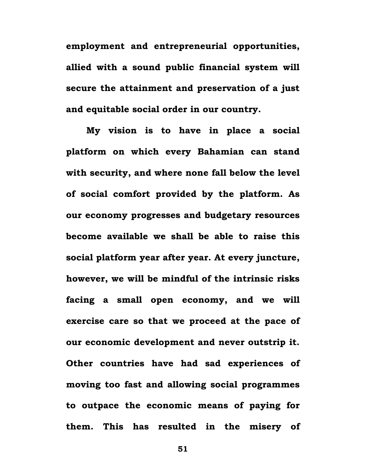**employment and entrepreneurial opportunities, allied with a sound public financial system will secure the attainment and preservation of a just and equitable social order in our country.** 

 **My vision is to have in place a social platform on which every Bahamian can stand with security, and where none fall below the level of social comfort provided by the platform. As our economy progresses and budgetary resources become available we shall be able to raise this social platform year after year. At every juncture, however, we will be mindful of the intrinsic risks facing a small open economy, and we will exercise care so that we proceed at the pace of our economic development and never outstrip it. Other countries have had sad experiences of moving too fast and allowing social programmes to outpace the economic means of paying for them. This has resulted in the misery of**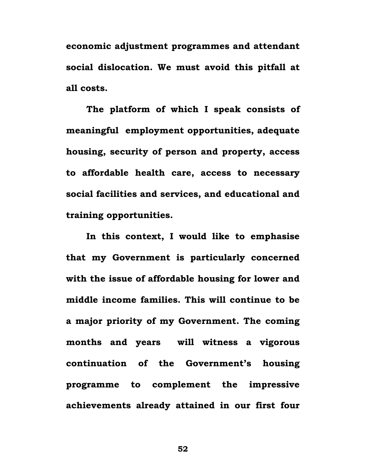**economic adjustment programmes and attendant social dislocation. We must avoid this pitfall at all costs.** 

 **The platform of which I speak consists of meaningful employment opportunities, adequate housing, security of person and property, access to affordable health care, access to necessary social facilities and services, and educational and training opportunities.** 

**In this context, I would like to emphasise that my Government is particularly concerned with the issue of affordable housing for lower and middle income families. This will continue to be a major priority of my Government. The coming months and years will witness a vigorous continuation of the Government's housing programme to complement the impressive achievements already attained in our first four** 

ا **52** هنر المستخدم المستخدم المستخدم المستخدم المستخدم المستخدم المستخدم المستخدم المستخدم المستخدم المستخدم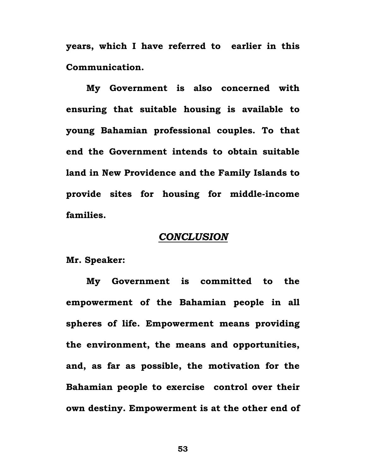**years, which I have referred to earlier in this Communication.** 

**My Government is also concerned with ensuring that suitable housing is available to young Bahamian professional couples. To that end the Government intends to obtain suitable land in New Providence and the Family Islands to provide sites for housing for middle-income families.** 

#### *CONCLUSION*

**Mr. Speaker:** 

**My Government is committed to the empowerment of the Bahamian people in all spheres of life. Empowerment means providing the environment, the means and opportunities, and, as far as possible, the motivation for the Bahamian people to exercise control over their own destiny. Empowerment is at the other end of** 

ا **53** هـ - المسافر المسافر المسافر المسافر المسافر المسافر المسافر المسافر المسافر المسافر المسافر المسافر ا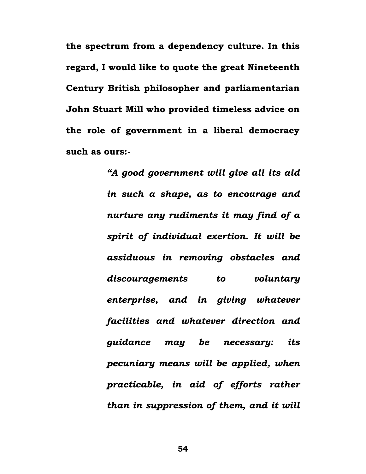**the spectrum from a dependency culture. In this regard, I would like to quote the great Nineteenth Century British philosopher and parliamentarian John Stuart Mill who provided timeless advice on the role of government in a liberal democracy such as ours:-** 

> *"A good government will give all its aid in such a shape, as to encourage and nurture any rudiments it may find of a spirit of individual exertion. It will be assiduous in removing obstacles and discouragements to voluntary enterprise, and in giving whatever facilities and whatever direction and guidance may be necessary: its pecuniary means will be applied, when practicable, in aid of efforts rather than in suppression of them, and it will*

ل المراجع المراجع المراجع المراجع المراجع المراجع المراجع المراجع المراجع المراجع المراجع المراجع المراجع المر<br>المراجع المراجع المراجع المراجع المراجع المراجع المراجع المراجع المراجع المراجع المراجع المراجع المراجع المرا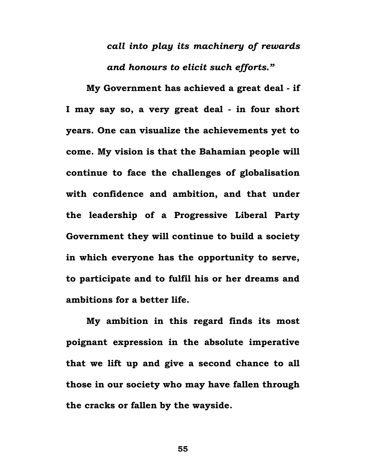*call into play its machinery of rewards and honours to elicit such efforts."* 

**My Government has achieved a great deal - if I may say so, a very great deal - in four short years. One can visualize the achievements yet to come. My vision is that the Bahamian people will continue to face the challenges of globalisation with confidence and ambition, and that under the leadership of a Progressive Liberal Party Government they will continue to build a society in which everyone has the opportunity to serve, to participate and to fulfil his or her dreams and ambitions for a better life.** 

**My ambition in this regard finds its most poignant expression in the absolute imperative that we lift up and give a second chance to all those in our society who may have fallen through the cracks or fallen by the wayside.** 

ا **55** مارس المستخدم المستخدم المستخدم المستخدم المستخدم المستخدم المستخدم المستخدم المستخدم المستخدم المستخدم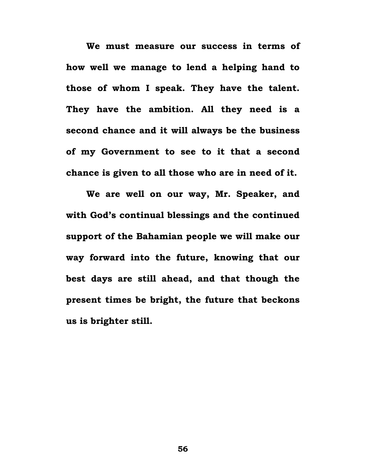**We must measure our success in terms of how well we manage to lend a helping hand to those of whom I speak. They have the talent. They have the ambition. All they need is a second chance and it will always be the business of my Government to see to it that a second chance is given to all those who are in need of it.** 

**We are well on our way, Mr. Speaker, and with God's continual blessings and the continued support of the Bahamian people we will make our way forward into the future, knowing that our best days are still ahead, and that though the present times be bright, the future that beckons us is brighter still.** 

ل المراجع المراجع المراجع المراجع المراجع المراجع المراجع المراجع المراجع المراجع المراجع المراجع المراجع المر<br>المراجع المراجع المراجع المراجع المراجع المراجع المراجع المراجع المراجع المراجع المراجع المراجع المراجع المرا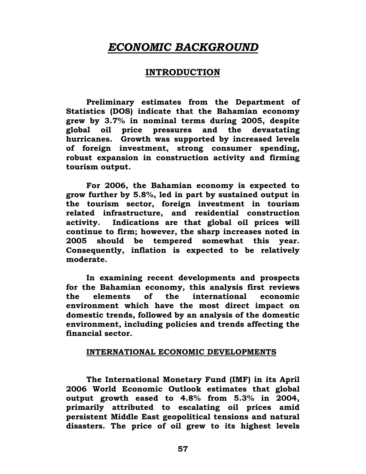# *ECONOMIC BACKGROUND*

## **INTRODUCTION**

**Preliminary estimates from the Department of Statistics (DOS) indicate that the Bahamian economy grew by 3.7% in nominal terms during 2005, despite global oil price pressures and the devastating hurricanes. Growth was supported by increased levels of foreign investment, strong consumer spending, robust expansion in construction activity and firming tourism output.** 

**For 2006, the Bahamian economy is expected to grow further by 5.8%, led in part by sustained output in the tourism sector, foreign investment in tourism related infrastructure, and residential construction activity. Indications are that global oil prices will continue to firm; however, the sharp increases noted in 2005 should be tempered somewhat this year. Consequently, inflation is expected to be relatively moderate.** 

**In examining recent developments and prospects for the Bahamian economy, this analysis first reviews the elements of the international economic environment which have the most direct impact on domestic trends, followed by an analysis of the domestic environment, including policies and trends affecting the financial sector.** 

#### **INTERNATIONAL ECONOMIC DEVELOPMENTS**

**The International Monetary Fund (IMF) in its April 2006 World Economic Outlook estimates that global output growth eased to 4.8% from 5.3% in 2004, primarily attributed to escalating oil prices amid persistent Middle East geopolitical tensions and natural disasters. The price of oil grew to its highest levels**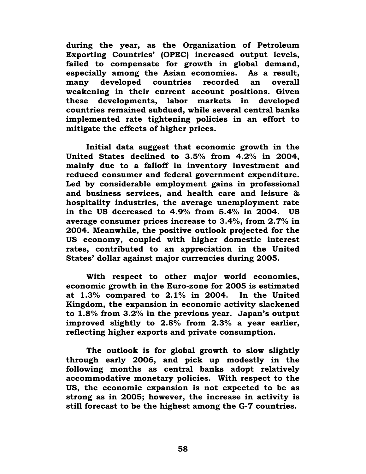**during the year, as the Organization of Petroleum Exporting Countries' (OPEC) increased output levels, failed to compensate for growth in global demand, especially among the Asian economies. As a result, many developed countries recorded an overall weakening in their current account positions. Given these developments, labor markets in developed countries remained subdued, while several central banks implemented rate tightening policies in an effort to mitigate the effects of higher prices.** 

**Initial data suggest that economic growth in the United States declined to 3.5% from 4.2% in 2004, mainly due to a falloff in inventory investment and reduced consumer and federal government expenditure. Led by considerable employment gains in professional and business services, and health care and leisure & hospitality industries, the average unemployment rate in the US decreased to 4.9% from 5.4% in 2004. US average consumer prices increase to 3.4%, from 2.7% in 2004. Meanwhile, the positive outlook projected for the US economy, coupled with higher domestic interest rates, contributed to an appreciation in the United States' dollar against major currencies during 2005.** 

**With respect to other major world economies, economic growth in the Euro-zone for 2005 is estimated at 1.3% compared to 2.1% in 2004. In the United Kingdom, the expansion in economic activity slackened to 1.8% from 3.2% in the previous year. Japan's output improved slightly to 2.8% from 2.3% a year earlier, reflecting higher exports and private consumption.** 

**The outlook is for global growth to slow slightly through early 2006, and pick up modestly in the following months as central banks adopt relatively accommodative monetary policies. With respect to the US, the economic expansion is not expected to be as strong as in 2005; however, the increase in activity is still forecast to be the highest among the G-7 countries.**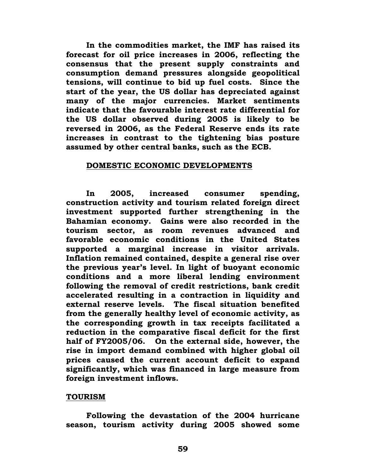**In the commodities market, the IMF has raised its forecast for oil price increases in 2006, reflecting the consensus that the present supply constraints and consumption demand pressures alongside geopolitical tensions, will continue to bid up fuel costs. Since the start of the year, the US dollar has depreciated against many of the major currencies. Market sentiments indicate that the favourable interest rate differential for the US dollar observed during 2005 is likely to be reversed in 2006, as the Federal Reserve ends its rate increases in contrast to the tightening bias posture assumed by other central banks, such as the ECB.** 

#### **DOMESTIC ECONOMIC DEVELOPMENTS**

**In 2005, increased consumer spending, construction activity and tourism related foreign direct investment supported further strengthening in the Bahamian economy. Gains were also recorded in the tourism sector, as room revenues advanced and favorable economic conditions in the United States supported a marginal increase in visitor arrivals. Inflation remained contained, despite a general rise over the previous year's level. In light of buoyant economic conditions and a more liberal lending environment following the removal of credit restrictions, bank credit accelerated resulting in a contraction in liquidity and external reserve levels. The fiscal situation benefited from the generally healthy level of economic activity, as the corresponding growth in tax receipts facilitated a reduction in the comparative fiscal deficit for the first half of FY2005/06. On the external side, however, the rise in import demand combined with higher global oil prices caused the current account deficit to expand significantly, which was financed in large measure from foreign investment inflows.** 

#### **TOURISM**

**Following the devastation of the 2004 hurricane season, tourism activity during 2005 showed some**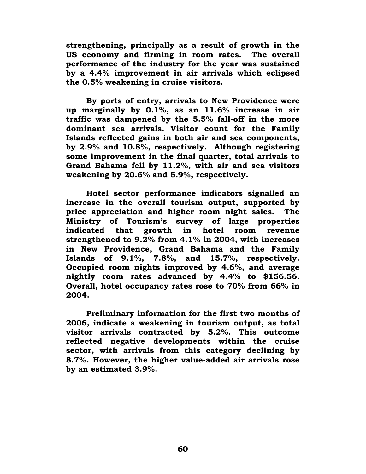**strengthening, principally as a result of growth in the US economy and firming in room rates. The overall performance of the industry for the year was sustained by a 4.4% improvement in air arrivals which eclipsed the 0.5% weakening in cruise visitors.** 

**By ports of entry, arrivals to New Providence were up marginally by 0.1%, as an 11.6% increase in air traffic was dampened by the 5.5% fall-off in the more dominant sea arrivals. Visitor count for the Family Islands reflected gains in both air and sea components, by 2.9% and 10.8%, respectively. Although registering some improvement in the final quarter, total arrivals to Grand Bahama fell by 11.2%, with air and sea visitors weakening by 20.6% and 5.9%, respectively.** 

**Hotel sector performance indicators signalled an increase in the overall tourism output, supported by price appreciation and higher room night sales. The Ministry of Tourism's survey of large properties indicated that growth in hotel room revenue strengthened to 9.2% from 4.1% in 2004, with increases in New Providence, Grand Bahama and the Family Islands of 9.1%, 7.8%, and 15.7%, respectively. Occupied room nights improved by 4.6%, and average nightly room rates advanced by 4.4% to \$156.56. Overall, hotel occupancy rates rose to 70% from 66% in 2004.** 

**Preliminary information for the first two months of 2006, indicate a weakening in tourism output, as total visitor arrivals contracted by 5.2%. This outcome reflected negative developments within the cruise sector, with arrivals from this category declining by 8.7%. However, the higher value-added air arrivals rose by an estimated 3.9%.**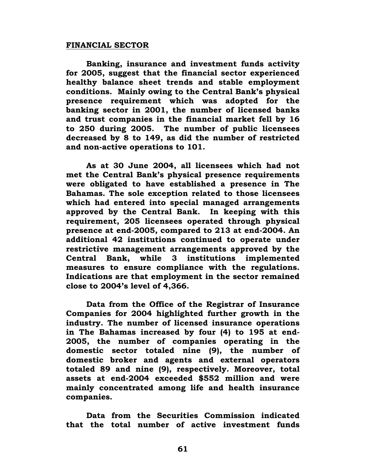#### **FINANCIAL SECTOR**

**Banking, insurance and investment funds activity for 2005, suggest that the financial sector experienced healthy balance sheet trends and stable employment conditions. Mainly owing to the Central Bank's physical presence requirement which was adopted for the banking sector in 2001, the number of licensed banks and trust companies in the financial market fell by 16 to 250 during 2005. The number of public licensees decreased by 8 to 149, as did the number of restricted and non-active operations to 101.** 

**As at 30 June 2004, all licensees which had not met the Central Bank's physical presence requirements were obligated to have established a presence in The Bahamas. The sole exception related to those licensees which had entered into special managed arrangements approved by the Central Bank. In keeping with this requirement, 205 licensees operated through physical presence at end-2005, compared to 213 at end-2004. An additional 42 institutions continued to operate under restrictive management arrangements approved by the Central Bank, while 3 institutions implemented measures to ensure compliance with the regulations. Indications are that employment in the sector remained close to 2004's level of 4,366.** 

**Data from the Office of the Registrar of Insurance Companies for 2004 highlighted further growth in the industry. The number of licensed insurance operations in The Bahamas increased by four (4) to 195 at end-2005, the number of companies operating in the domestic sector totaled nine (9), the number of domestic broker and agents and external operators totaled 89 and nine (9), respectively. Moreover, total assets at end-2004 exceeded \$552 million and were mainly concentrated among life and health insurance companies.** 

**Data from the Securities Commission indicated that the total number of active investment funds**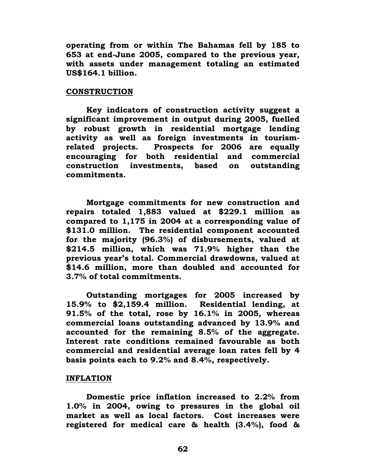**operating from or within The Bahamas fell by 185 to 653 at end-June 2005, compared to the previous year, with assets under management totaling an estimated US\$164.1 billion.** 

#### **CONSTRUCTION**

**Key indicators of construction activity suggest a significant improvement in output during 2005, fuelled by robust growth in residential mortgage lending activity as well as foreign investments in tourismrelated projects. Prospects for 2006 are equally encouraging for both residential and commercial construction investments, based on outstanding commitments.** 

**Mortgage commitments for new construction and repairs totaled 1,883 valued at \$229.1 million as compared to 1,175 in 2004 at a corresponding value of \$131.0 million. The residential component accounted for the majority (96.3%) of disbursements, valued at \$214.5 million, which was 71.9% higher than the previous year's total. Commercial drawdowns, valued at \$14.6 million, more than doubled and accounted for 3.7% of total commitments.** 

**Outstanding mortgages for 2005 increased by 15.9% to \$2,159.4 million. Residential lending, at 91.5% of the total, rose by 16.1% in 2005, whereas commercial loans outstanding advanced by 13.9% and accounted for the remaining 8.5% of the aggregate. Interest rate conditions remained favourable as both commercial and residential average loan rates fell by 4 basis points each to 9.2% and 8.4%, respectively.** 

#### **INFLATION**

**Domestic price inflation increased to 2.2% from 1.0% in 2004, owing to pressures in the global oil market as well as local factors. Cost increases were registered for medical care & health (3.4%), food &**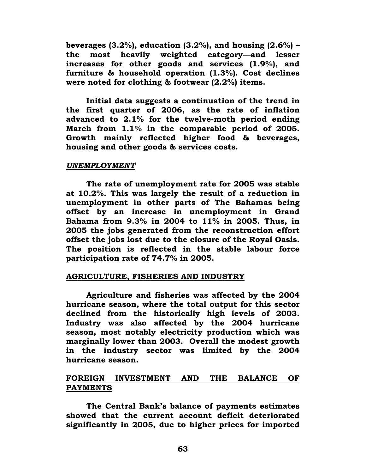**beverages (3.2%), education (3.2%), and housing (2.6%) – the most heavily weighted category––and lesser increases for other goods and services (1.9%), and furniture & household operation (1.3%). Cost declines were noted for clothing & footwear (2.2%) items.** 

**Initial data suggests a continuation of the trend in the first quarter of 2006, as the rate of inflation advanced to 2.1% for the twelve-moth period ending March from 1.1% in the comparable period of 2005. Growth mainly reflected higher food & beverages, housing and other goods & services costs.** 

#### *UNEMPLOYMENT*

**The rate of unemployment rate for 2005 was stable at 10.2%. This was largely the result of a reduction in unemployment in other parts of The Bahamas being offset by an increase in unemployment in Grand Bahama from 9.3% in 2004 to 11% in 2005. Thus, in 2005 the jobs generated from the reconstruction effort offset the jobs lost due to the closure of the Royal Oasis. The position is reflected in the stable labour force participation rate of 74.7% in 2005.** 

#### **AGRICULTURE, FISHERIES AND INDUSTRY**

**Agriculture and fisheries was affected by the 2004 hurricane season, where the total output for this sector declined from the historically high levels of 2003. Industry was also affected by the 2004 hurricane season, most notably electricity production which was marginally lower than 2003. Overall the modest growth in the industry sector was limited by the 2004 hurricane season.** 

## **FOREIGN INVESTMENT AND THE BALANCE OF PAYMENTS**

**The Central Bank's balance of payments estimates showed that the current account deficit deteriorated significantly in 2005, due to higher prices for imported**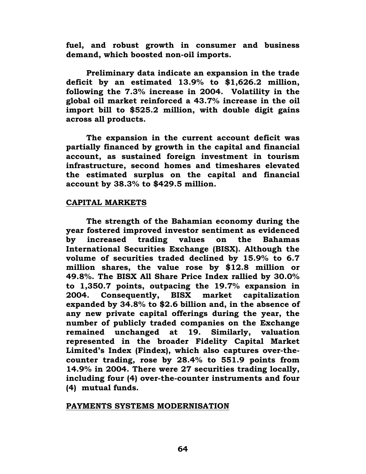**fuel, and robust growth in consumer and business demand, which boosted non-oil imports.** 

**Preliminary data indicate an expansion in the trade deficit by an estimated 13.9% to \$1,626.2 million, following the 7.3% increase in 2004. Volatility in the global oil market reinforced a 43.7% increase in the oil import bill to \$525.2 million, with double digit gains across all products.** 

**The expansion in the current account deficit was partially financed by growth in the capital and financial account, as sustained foreign investment in tourism infrastructure, second homes and timeshares elevated the estimated surplus on the capital and financial account by 38.3% to \$429.5 million.** 

#### **CAPITAL MARKETS**

**The strength of the Bahamian economy during the year fostered improved investor sentiment as evidenced by increased trading values on the Bahamas International Securities Exchange (BISX). Although the volume of securities traded declined by 15.9% to 6.7 million shares, the value rose by \$12.8 million or 49.8%. The BISX All Share Price Index rallied by 30.0% to 1,350.7 points, outpacing the 19.7% expansion in 2004. Consequently, BISX market capitalization expanded by 34.8% to \$2.6 billion and, in the absence of any new private capital offerings during the year, the number of publicly traded companies on the Exchange remained unchanged at 19. Similarly, valuation represented in the broader Fidelity Capital Market Limited's Index (Findex), which also captures over-thecounter trading, rose by 28.4% to 551.9 points from 14.9% in 2004. There were 27 securities trading locally, including four (4) over-the-counter instruments and four (4) mutual funds.** 

#### **PAYMENTS SYSTEMS MODERNISATION**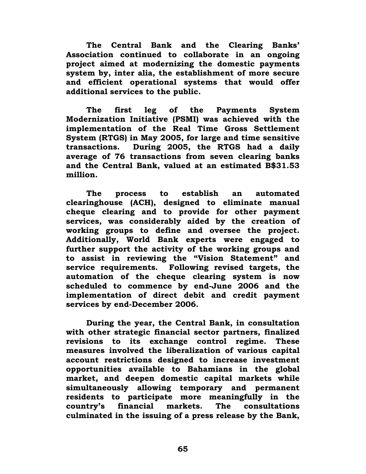**The Central Bank and the Clearing Banks' Association continued to collaborate in an ongoing project aimed at modernizing the domestic payments system by, inter alia, the establishment of more secure and efficient operational systems that would offer additional services to the public.** 

**The first leg of the Payments System Modernization Initiative (PSMI) was achieved with the implementation of the Real Time Gross Settlement System (RTGS) in May 2005, for large and time sensitive transactions. During 2005, the RTGS had a daily average of 76 transactions from seven clearing banks and the Central Bank, valued at an estimated B\$31.53 million.** 

**The process to establish an automated clearinghouse (ACH), designed to eliminate manual cheque clearing and to provide for other payment services, was considerably aided by the creation of working groups to define and oversee the project. Additionally, World Bank experts were engaged to further support the activity of the working groups and to assist in reviewing the "Vision Statement" and service requirements. Following revised targets, the automation of the cheque clearing system is now scheduled to commence by end-June 2006 and the implementation of direct debit and credit payment services by end-December 2006.** 

**During the year, the Central Bank, in consultation with other strategic financial sector partners, finalized revisions to its exchange control regime. These measures involved the liberalization of various capital account restrictions designed to increase investment opportunities available to Bahamians in the global market, and deepen domestic capital markets while simultaneously allowing temporary and permanent residents to participate more meaningfully in the country's financial markets. The consultations culminated in the issuing of a press release by the Bank,** 

**65 1999 1999 1999 1999 1999**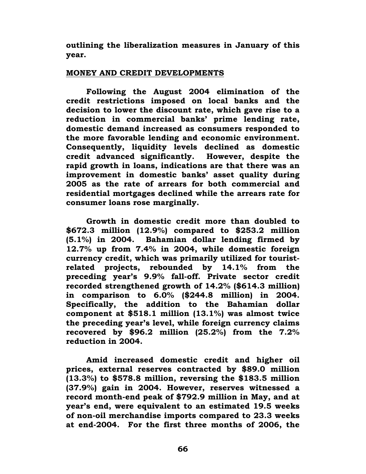**outlining the liberalization measures in January of this year.** 

#### **MONEY AND CREDIT DEVELOPMENTS**

**Following the August 2004 elimination of the credit restrictions imposed on local banks and the decision to lower the discount rate, which gave rise to a reduction in commercial banks' prime lending rate, domestic demand increased as consumers responded to the more favorable lending and economic environment. Consequently, liquidity levels declined as domestic credit advanced significantly. However, despite the rapid growth in loans, indications are that there was an improvement in domestic banks' asset quality during 2005 as the rate of arrears for both commercial and residential mortgages declined while the arrears rate for consumer loans rose marginally.** 

**Growth in domestic credit more than doubled to \$672.3 million (12.9%) compared to \$253.2 million (5.1%) in 2004. Bahamian dollar lending firmed by 12.7% up from 7.4% in 2004, while domestic foreign currency credit, which was primarily utilized for touristrelated projects, rebounded by 14.1% from the preceding year's 9.9% fall-off. Private sector credit recorded strengthened growth of 14.2% (\$614.3 million) in comparison to 6.0% (\$244.8 million) in 2004. Specifically, the addition to the Bahamian dollar component at \$518.1 million (13.1%) was almost twice the preceding year's level, while foreign currency claims recovered by \$96.2 million (25.2%) from the 7.2% reduction in 2004.** 

**Amid increased domestic credit and higher oil prices, external reserves contracted by \$89.0 million (13.3%) to \$578.8 million, reversing the \$183.5 million (37.9%) gain in 2004. However, reserves witnessed a record month-end peak of \$792.9 million in May, and at year's end, were equivalent to an estimated 19.5 weeks of non-oil merchandise imports compared to 23.3 weeks at end-2004. For the first three months of 2006, the**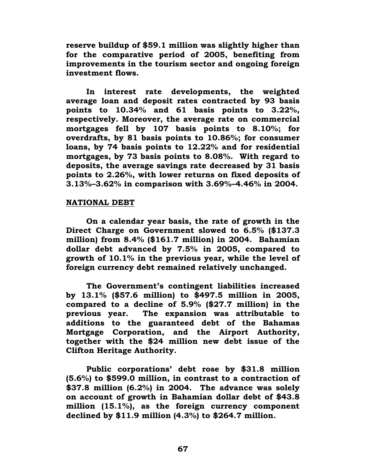**reserve buildup of \$59.1 million was slightly higher than for the comparative period of 2005, benefiting from improvements in the tourism sector and ongoing foreign investment flows.** 

**In interest rate developments, the weighted average loan and deposit rates contracted by 93 basis points to 10.34% and 61 basis points to 3.22%, respectively. Moreover, the average rate on commercial mortgages fell by 107 basis points to 8.10%; for overdrafts, by 81 basis points to 10.86%; for consumer loans, by 74 basis points to 12.22% and for residential mortgages, by 73 basis points to 8.08%. With regard to deposits, the average savings rate decreased by 31 basis points to 2.26%, with lower returns on fixed deposits of 3.13%–3.62% in comparison with 3.69%–4.46% in 2004.** 

#### **NATIONAL DEBT**

**On a calendar year basis, the rate of growth in the Direct Charge on Government slowed to 6.5% (\$137.3 million) from 8.4% (\$161.7 million) in 2004. Bahamian dollar debt advanced by 7.5% in 2005, compared to growth of 10.1% in the previous year, while the level of foreign currency debt remained relatively unchanged.** 

**The Government's contingent liabilities increased by 13.1% (\$57.6 million) to \$497.5 million in 2005, compared to a decline of 5.9% (\$27.7 million) in the previous year. The expansion was attributable to additions to the guaranteed debt of the Bahamas Mortgage Corporation, and the Airport Authority, together with the \$24 million new debt issue of the Clifton Heritage Authority.** 

**Public corporations' debt rose by \$31.8 million (5.6%) to \$599.0 million, in contrast to a contraction of \$37.8 million (6.2%) in 2004. The advance was solely on account of growth in Bahamian dollar debt of \$43.8 million (15.1%), as the foreign currency component declined by \$11.9 million (4.3%) to \$264.7 million.**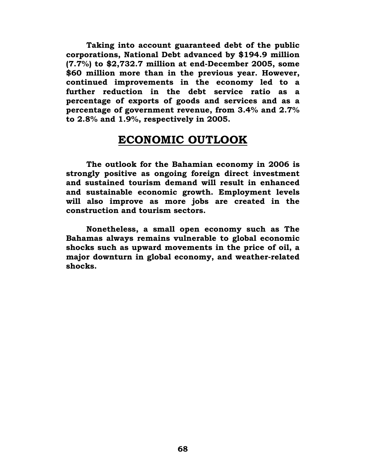**Taking into account guaranteed debt of the public corporations, National Debt advanced by \$194.9 million (7.7%) to \$2,732.7 million at end-December 2005, some \$60 million more than in the previous year. However, continued improvements in the economy led to a further reduction in the debt service ratio as a percentage of exports of goods and services and as a percentage of government revenue, from 3.4% and 2.7% to 2.8% and 1.9%, respectively in 2005.** 

# **ECONOMIC OUTLOOK**

**The outlook for the Bahamian economy in 2006 is strongly positive as ongoing foreign direct investment and sustained tourism demand will result in enhanced and sustainable economic growth. Employment levels will also improve as more jobs are created in the construction and tourism sectors.** 

**Nonetheless, a small open economy such as The Bahamas always remains vulnerable to global economic shocks such as upward movements in the price of oil, a major downturn in global economy, and weather-related shocks.**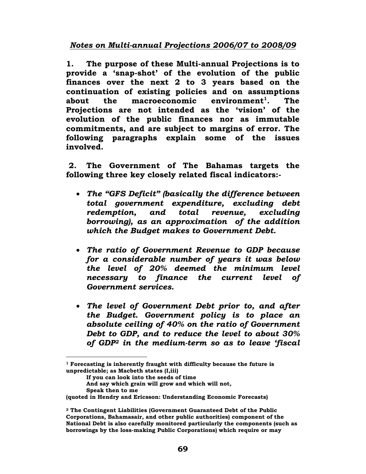# *Notes on Multi-annual Projections 2006/07 to 2008/09*

**1. The purpose of these Multi-annual Projections is to provide a 'snap-shot' of the evolution of the public finances over the next 2 to 3 years based on the continuation of existing policies and on assumptions**  about the macroeconomic environment<sup>1</sup>. The **Projections are not intended as the 'vision' of the evolution of the public finances nor as immutable commitments, and are subject to margins of error. The following paragraphs explain some of the issues involved.**

 **2. The Government of The Bahamas targets the following three key closely related fiscal indicators:-** 

- *The "GFS Deficit" (basically the difference between total government expenditure, excluding debt redemption, and total revenue, excluding borrowing), as an approximation of the addition which the Budget makes to Government Debt.*
- *The ratio of Government Revenue to GDP because for a considerable number of years it was below the level of 20% deemed the minimum level necessary to finance the current level of Government services.*
- *The level of Government Debt prior to, and after the Budget. Government policy is to place an absolute ceiling of 40% on the ratio of Government Debt to GDP, and to reduce the level to about 30% of GDP2 in the medium-term so as to leave 'fiscal*

 **1 Forecasting is inherently fraught with difficulty because the future is unpredictable; as Macbeth states (I,iii)** 

**If you can look into the seeds of time** 

**And say which grain will grow and which will not, Speak then to me** 

**<sup>(</sup>quoted in Hendry and Ericsson: Understanding Economic Forecasts)** 

**<sup>2</sup> The Contingent Liabilities (Government Guaranteed Debt of the Public Corporations, Bahamasair, and other public authorities) component of the National Debt is also carefully monitored particularly the components (such as borrowings by the loss-making Public Corporations) which require or may**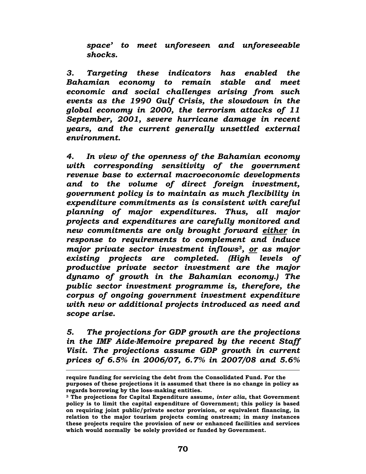*space' to meet unforeseen and unforeseeable shocks.* 

*3. Targeting these indicators has enabled the Bahamian economy to remain stable and meet economic and social challenges arising from such events as the 1990 Gulf Crisis, the slowdown in the global economy in 2000, the terrorism attacks of 11 September, 2001, severe hurricane damage in recent years, and the current generally unsettled external environment.* 

*4. In view of the openness of the Bahamian economy with corresponding sensitivity of the government revenue base to external macroeconomic developments and to the volume of direct foreign investment, government policy is to maintain as much flexibility in expenditure commitments as is consistent with careful planning of major expenditures. Thus, all major projects and expenditures are carefully monitored and new commitments are only brought forward either in response to requirements to complement and induce major private sector investment inflows3, or as major existing projects are completed. (High levels of productive private sector investment are the major dynamo of growth in the Bahamian economy.) The public sector investment programme is, therefore, the corpus of ongoing government investment expenditure with new or additional projects introduced as need and scope arise.* 

*5. The projections for GDP growth are the projections in the IMF Aide-Memoire prepared by the recent Staff Visit. The projections assume GDP growth in current prices of 6.5% in 2006/07, 6.7% in 2007/08 and 5.6%* 

**require funding for servicing the debt from the Consolidated Fund. For the purposes of these projections it is assumed that there is no change in policy as regards borrowing by the loss-making entities.** 

**<sup>3</sup> The projections for Capital Expenditure assume,** *inter alia***, that Government policy is to limit the capital expenditure of Government; this policy is based on requiring joint public/private sector provision, or equivalent financing, in relation to the major tourism projects coming onstream; in many instances these projects require the provision of new or enhanced facilities and services which would normally be solely provided or funded by Government.**